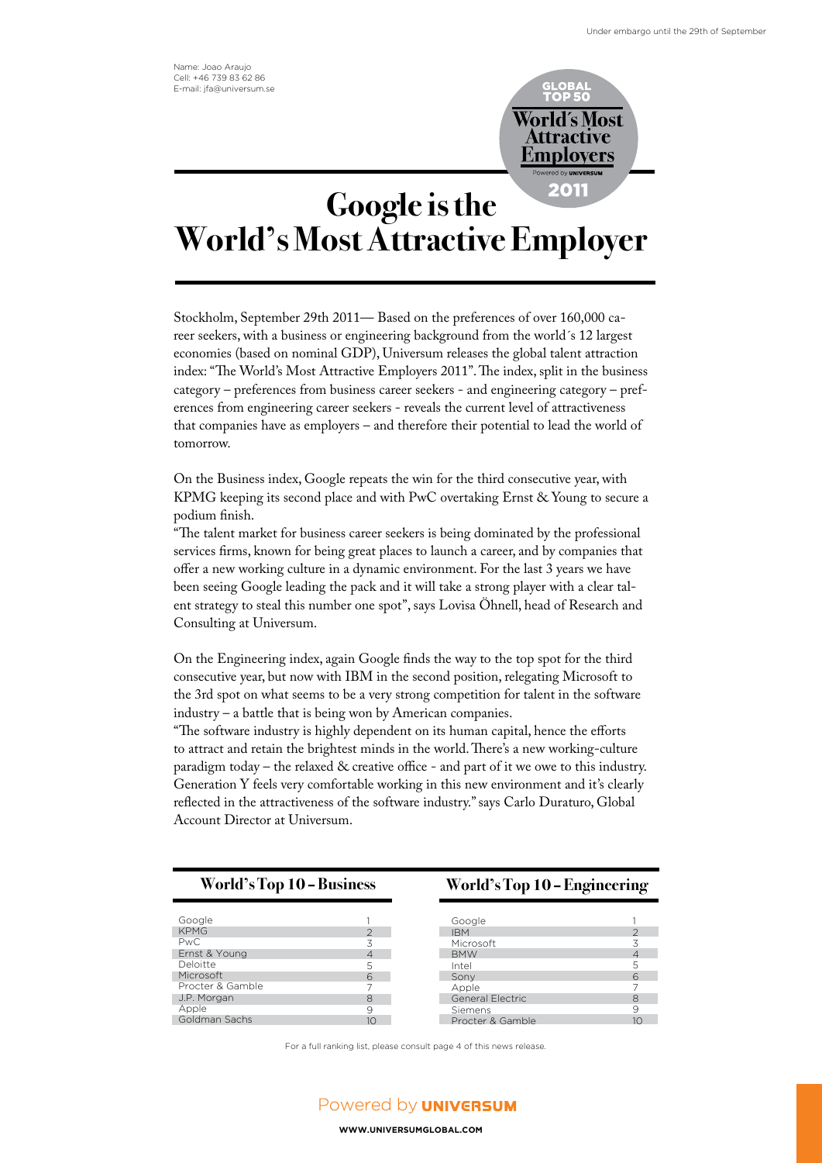

## **Google is the World's Most Attractive Employer**

Stockholm, September 29th 2011— Based on the preferences of over 160,000 career seekers, with a business or engineering background from the world´s 12 largest economies (based on nominal GDP), Universum releases the global talent attraction index: "The World's Most Attractive Employers 2011". The index, split in the business category – preferences from business career seekers - and engineering category – preferences from engineering career seekers - reveals the current level of attractiveness that companies have as employers – and therefore their potential to lead the world of tomorrow.

On the Business index, Google repeats the win for the third consecutive year, with KPMG keeping its second place and with PwC overtaking Ernst & Young to secure a podium finish.

"The talent market for business career seekers is being dominated by the professional services firms, known for being great places to launch a career, and by companies that offer a new working culture in a dynamic environment. For the last 3 years we have been seeing Google leading the pack and it will take a strong player with a clear talent strategy to steal this number one spot", says Lovisa Öhnell, head of Research and Consulting at Universum.

On the Engineering index, again Google finds the way to the top spot for the third consecutive year, but now with IBM in the second position, relegating Microsoft to the 3rd spot on what seems to be a very strong competition for talent in the software industry – a battle that is being won by American companies.

"The software industry is highly dependent on its human capital, hence the efforts to attract and retain the brightest minds in the world. There's a new working-culture paradigm today – the relaxed & creative office - and part of it we owe to this industry. Generation Y feels very comfortable working in this new environment and it's clearly reflected in the attractiveness of the software industry." says Carlo Duraturo, Global Account Director at Universum.

| Google           |   |
|------------------|---|
| <b>KPMG</b>      | 2 |
| PwC              | 3 |
| Ernst & Young    |   |
| Deloitte         | 5 |
| Microsoft        | 6 |
| Procter & Gamble |   |
| J.P. Morgan      | 8 |
| Apple            | ч |
| Goldman Sachs    |   |

#### **World's Top 10 – Business World's Top 10 – Engineering**

| Google                  |               |
|-------------------------|---------------|
| <b>IBM</b>              | $\mathcal{P}$ |
| Microsoft               | 3             |
| <b>BMW</b>              |               |
| Intel                   | 5             |
| Sony                    |               |
| Apple                   |               |
| <b>General Electric</b> | 8             |
| Siemens                 |               |
| Procter & Gamble        |               |

For a full ranking list, please consult page 4 of this news release.

## Powered by **UNIVERSUM**

**www.universumglobal.com**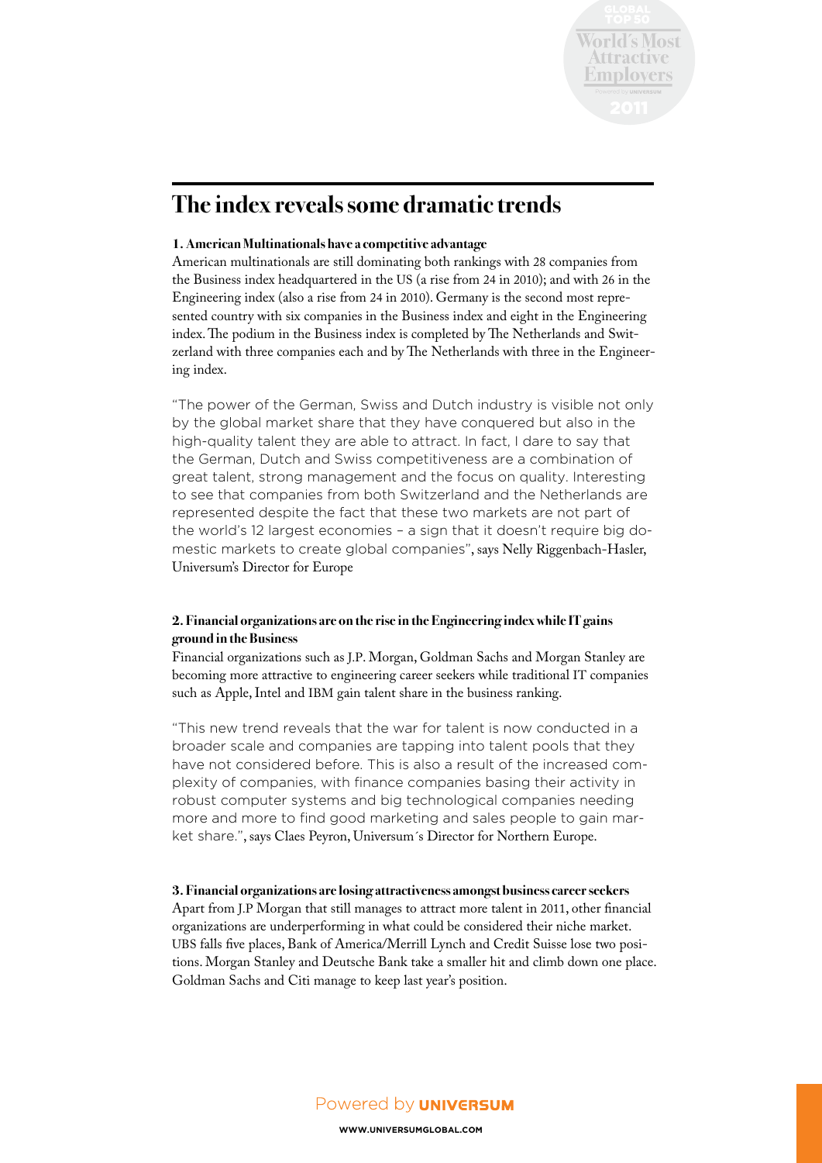

## **The index reveals some dramatic trends**

#### **1. American Multinationals have a competitive advantage**

American multinationals are still dominating both rankings with 28 companies from the Business index headquartered in the US (a rise from 24 in 2010); and with 26 in the Engineering index (also a rise from 24 in 2010). Germany is the second most represented country with six companies in the Business index and eight in the Engineering index. The podium in the Business index is completed by The Netherlands and Switzerland with three companies each and by The Netherlands with three in the Engineering index.

"The power of the German, Swiss and Dutch industry is visible not only by the global market share that they have conquered but also in the high-quality talent they are able to attract. In fact, I dare to say that the German, Dutch and Swiss competitiveness are a combination of great talent, strong management and the focus on quality. Interesting to see that companies from both Switzerland and the Netherlands are represented despite the fact that these two markets are not part of the world's 12 largest economies – a sign that it doesn't require big domestic markets to create global companies", says Nelly Riggenbach-Hasler, Universum's Director for Europe

#### **2. Financial organizations are on the rise in the Engineering index while IT gains ground in the Business**

Financial organizations such as J.P. Morgan, Goldman Sachs and Morgan Stanley are becoming more attractive to engineering career seekers while traditional IT companies such as Apple, Intel and IBM gain talent share in the business ranking.

"This new trend reveals that the war for talent is now conducted in a broader scale and companies are tapping into talent pools that they have not considered before. This is also a result of the increased complexity of companies, with finance companies basing their activity in robust computer systems and big technological companies needing more and more to find good marketing and sales people to gain market share.", says Claes Peyron, Universum´s Director for Northern Europe.

#### **3. Financial organizations are losing attractiveness amongst business career seekers**

Apart from J.P Morgan that still manages to attract more talent in 2011, other financial organizations are underperforming in what could be considered their niche market. UBS falls five places, Bank of America/Merrill Lynch and Credit Suisse lose two positions. Morgan Stanley and Deutsche Bank take a smaller hit and climb down one place. Goldman Sachs and Citi manage to keep last year's position.

Powered by **UNIVERSUM** 

**www.universumglobal.com www.universumglobal.com**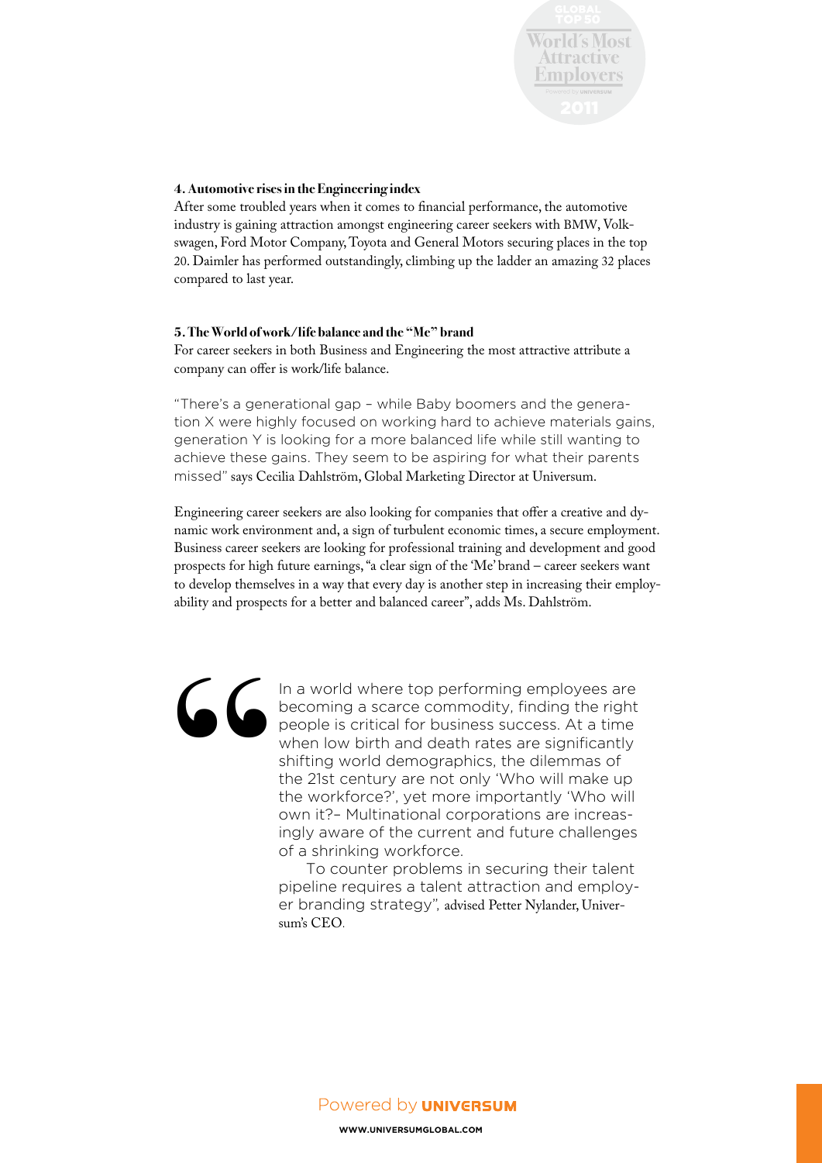

#### **4. Automotive rises in the Engineering index**

After some troubled years when it comes to financial performance, the automotive industry is gaining attraction amongst engineering career seekers with BMW, Volkswagen, Ford Motor Company, Toyota and General Motors securing places in the top 20. Daimler has performed outstandingly, climbing up the ladder an amazing 32 places compared to last year.

#### **5. The World of work/life balance and the "Me" brand**

For career seekers in both Business and Engineering the most attractive attribute a company can offer is work/life balance.

"There's a generational gap – while Baby boomers and the generation X were highly focused on working hard to achieve materials gains, generation Y is looking for a more balanced life while still wanting to achieve these gains. They seem to be aspiring for what their parents missed" says Cecilia Dahlström, Global Marketing Director at Universum.

Engineering career seekers are also looking for companies that offer a creative and dynamic work environment and, a sign of turbulent economic times, a secure employment. Business career seekers are looking for professional training and development and good prospects for high future earnings, "a clear sign of the 'Me' brand – career seekers want to develop themselves in a way that every day is another step in increasing their employability and prospects for a better and balanced career", adds Ms. Dahlström.

**"**

In a world where top performing employees are becoming a scarce commodity, finding the right people is critical for business success. At a time when low birth and death rates are significantly shifting world demographics, the dilemmas of the 21st century are not only 'Who will make up the workforce?', yet more importantly 'Who will own it?– Multinational corporations are increasingly aware of the current and future challenges of a shrinking workforce.

 To counter problems in securing their talent pipeline requires a talent attraction and employer branding strategy", advised Petter Nylander, Universum's CEO.

Powered by **UNIVERSUM** 

**www.universumglobal.com www.universumglobal.com**